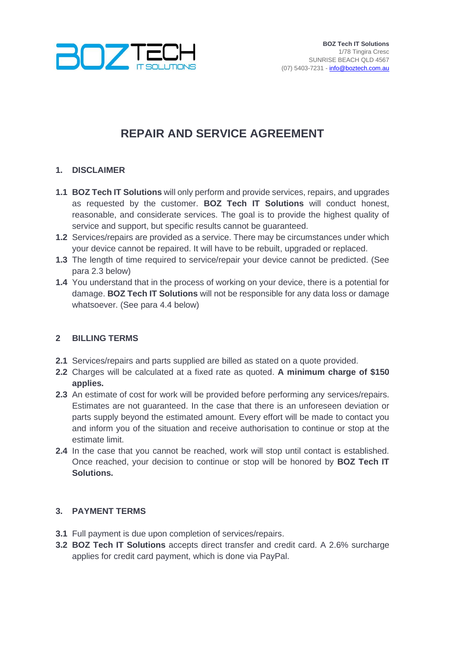

# **REPAIR AND SERVICE AGREEMENT**

## **1. DISCLAIMER**

- **1.1 BOZ Tech IT Solutions** will only perform and provide services, repairs, and upgrades as requested by the customer. **BOZ Tech IT Solutions** will conduct honest, reasonable, and considerate services. The goal is to provide the highest quality of service and support, but specific results cannot be guaranteed.
- **1.2** Services/repairs are provided as a service. There may be circumstances under which your device cannot be repaired. It will have to be rebuilt, upgraded or replaced.
- **1.3** The length of time required to service/repair your device cannot be predicted. (See para 2.3 below)
- **1.4** You understand that in the process of working on your device, there is a potential for damage. **BOZ Tech IT Solutions** will not be responsible for any data loss or damage whatsoever. (See para 4.4 below)

### **2 BILLING TERMS**

- **2.1** Services/repairs and parts supplied are billed as stated on a quote provided.
- **2.2** Charges will be calculated at a fixed rate as quoted. **A minimum charge of \$150 applies.**
- **2.3** An estimate of cost for work will be provided before performing any services/repairs. Estimates are not guaranteed. In the case that there is an unforeseen deviation or parts supply beyond the estimated amount. Every effort will be made to contact you and inform you of the situation and receive authorisation to continue or stop at the estimate limit.
- **2.4** In the case that you cannot be reached, work will stop until contact is established. Once reached, your decision to continue or stop will be honored by **BOZ Tech IT Solutions.**

### **3. PAYMENT TERMS**

- **3.1** Full payment is due upon completion of services/repairs.
- **3.2 BOZ Tech IT Solutions** accepts direct transfer and credit card. A 2.6% surcharge applies for credit card payment, which is done via PayPal.